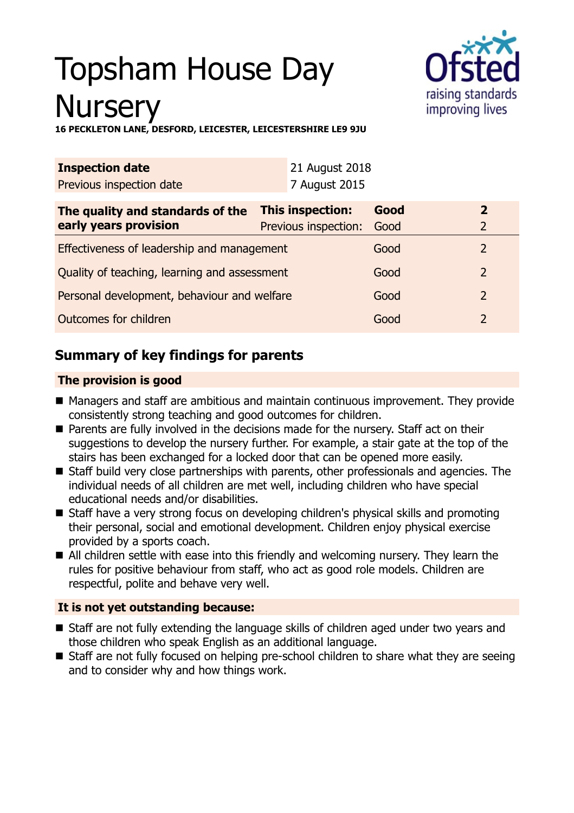# Topsham House Day **Nurserv**



**16 PECKLETON LANE, DESFORD, LEICESTER, LEICESTERSHIRE LE9 9JU**

| <b>Inspection date</b>                                                                                |      | 21 August 2018 |                     |                |
|-------------------------------------------------------------------------------------------------------|------|----------------|---------------------|----------------|
| Previous inspection date                                                                              |      | 7 August 2015  |                     |                |
| This inspection:<br>The quality and standards of the<br>early years provision<br>Previous inspection: |      | Good<br>Good   | 2<br>$\overline{2}$ |                |
| Effectiveness of leadership and management                                                            | Good | $\overline{2}$ |                     |                |
| Quality of teaching, learning and assessment                                                          |      |                | Good                | $\overline{2}$ |
| Personal development, behaviour and welfare                                                           |      |                | Good                | $\mathcal{P}$  |
| Outcomes for children                                                                                 |      |                | Good                | $\overline{2}$ |

## **Summary of key findings for parents**

## **The provision is good**

- Managers and staff are ambitious and maintain continuous improvement. They provide consistently strong teaching and good outcomes for children.
- Parents are fully involved in the decisions made for the nursery. Staff act on their suggestions to develop the nursery further. For example, a stair gate at the top of the stairs has been exchanged for a locked door that can be opened more easily.
- Staff build very close partnerships with parents, other professionals and agencies. The individual needs of all children are met well, including children who have special educational needs and/or disabilities.
- Staff have a very strong focus on developing children's physical skills and promoting their personal, social and emotional development. Children enjoy physical exercise provided by a sports coach.
- All children settle with ease into this friendly and welcoming nursery. They learn the rules for positive behaviour from staff, who act as good role models. Children are respectful, polite and behave very well.

## **It is not yet outstanding because:**

- Staff are not fully extending the language skills of children aged under two years and those children who speak English as an additional language.
- Staff are not fully focused on helping pre-school children to share what they are seeing and to consider why and how things work.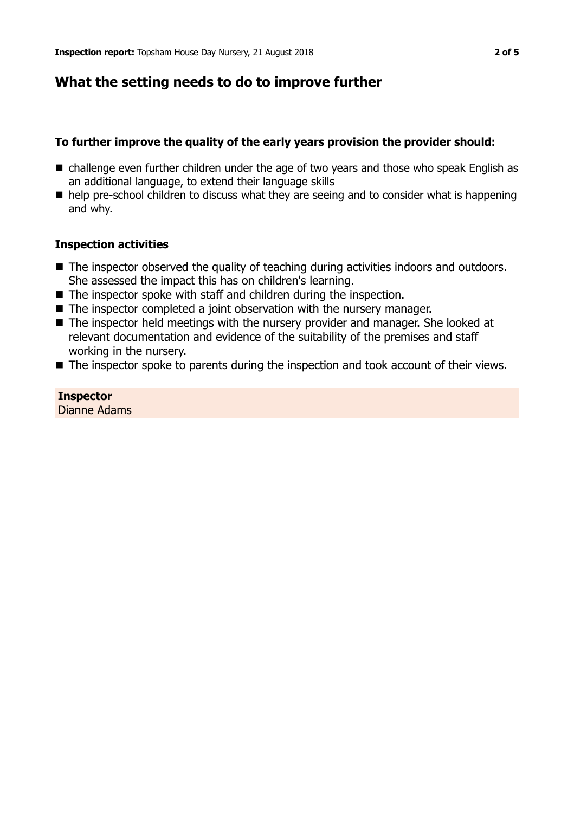## **What the setting needs to do to improve further**

## **To further improve the quality of the early years provision the provider should:**

- $\blacksquare$  challenge even further children under the age of two years and those who speak English as an additional language, to extend their language skills
- $\blacksquare$  help pre-school children to discuss what they are seeing and to consider what is happening and why.

## **Inspection activities**

- The inspector observed the quality of teaching during activities indoors and outdoors. She assessed the impact this has on children's learning.
- $\blacksquare$  The inspector spoke with staff and children during the inspection.
- $\blacksquare$  The inspector completed a joint observation with the nursery manager.
- The inspector held meetings with the nursery provider and manager. She looked at relevant documentation and evidence of the suitability of the premises and staff working in the nursery.
- $\blacksquare$  The inspector spoke to parents during the inspection and took account of their views.

**Inspector** Dianne Adams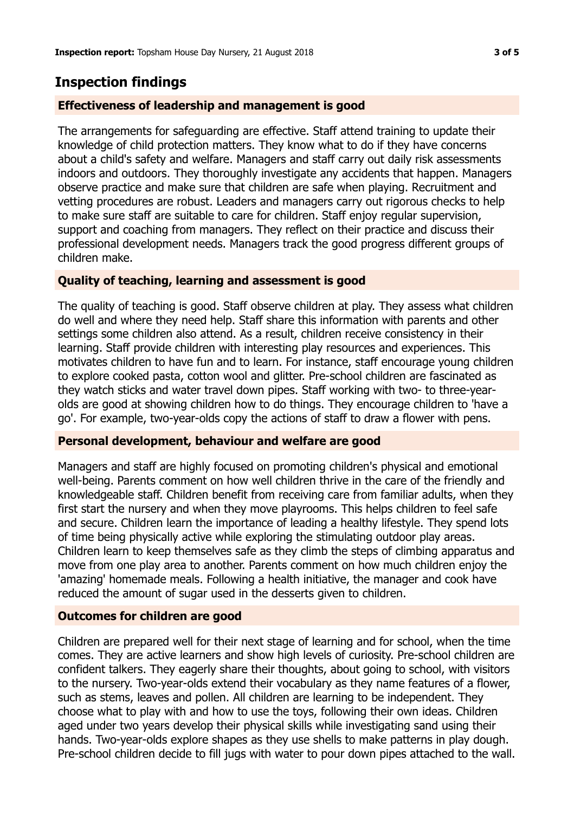## **Inspection findings**

## **Effectiveness of leadership and management is good**

The arrangements for safeguarding are effective. Staff attend training to update their knowledge of child protection matters. They know what to do if they have concerns about a child's safety and welfare. Managers and staff carry out daily risk assessments indoors and outdoors. They thoroughly investigate any accidents that happen. Managers observe practice and make sure that children are safe when playing. Recruitment and vetting procedures are robust. Leaders and managers carry out rigorous checks to help to make sure staff are suitable to care for children. Staff enjoy regular supervision, support and coaching from managers. They reflect on their practice and discuss their professional development needs. Managers track the good progress different groups of children make.

#### **Quality of teaching, learning and assessment is good**

The quality of teaching is good. Staff observe children at play. They assess what children do well and where they need help. Staff share this information with parents and other settings some children also attend. As a result, children receive consistency in their learning. Staff provide children with interesting play resources and experiences. This motivates children to have fun and to learn. For instance, staff encourage young children to explore cooked pasta, cotton wool and glitter. Pre-school children are fascinated as they watch sticks and water travel down pipes. Staff working with two- to three-yearolds are good at showing children how to do things. They encourage children to 'have a go'. For example, two-year-olds copy the actions of staff to draw a flower with pens.

#### **Personal development, behaviour and welfare are good**

Managers and staff are highly focused on promoting children's physical and emotional well-being. Parents comment on how well children thrive in the care of the friendly and knowledgeable staff. Children benefit from receiving care from familiar adults, when they first start the nursery and when they move playrooms. This helps children to feel safe and secure. Children learn the importance of leading a healthy lifestyle. They spend lots of time being physically active while exploring the stimulating outdoor play areas. Children learn to keep themselves safe as they climb the steps of climbing apparatus and move from one play area to another. Parents comment on how much children enjoy the 'amazing' homemade meals. Following a health initiative, the manager and cook have reduced the amount of sugar used in the desserts given to children.

#### **Outcomes for children are good**

Children are prepared well for their next stage of learning and for school, when the time comes. They are active learners and show high levels of curiosity. Pre-school children are confident talkers. They eagerly share their thoughts, about going to school, with visitors to the nursery. Two-year-olds extend their vocabulary as they name features of a flower, such as stems, leaves and pollen. All children are learning to be independent. They choose what to play with and how to use the toys, following their own ideas. Children aged under two years develop their physical skills while investigating sand using their hands. Two-year-olds explore shapes as they use shells to make patterns in play dough. Pre-school children decide to fill jugs with water to pour down pipes attached to the wall.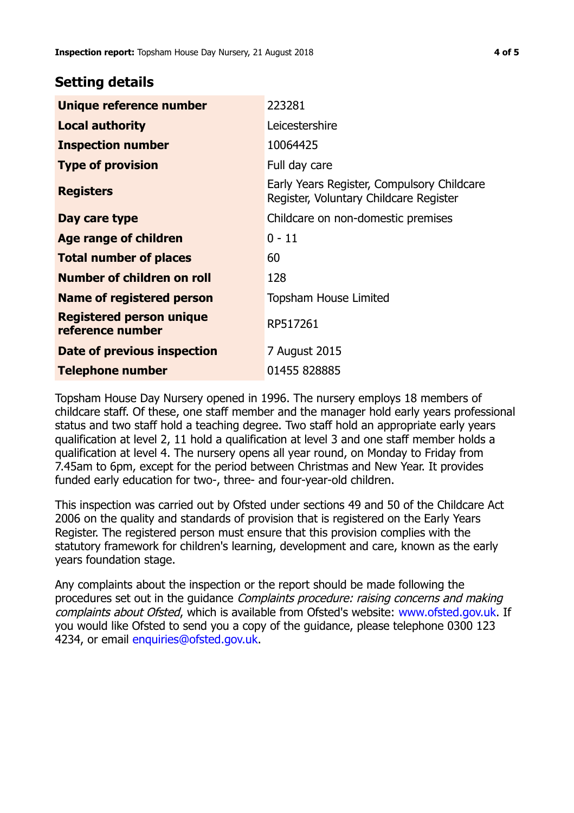## **Setting details**

| Unique reference number                             | 223281                                                                               |
|-----------------------------------------------------|--------------------------------------------------------------------------------------|
| <b>Local authority</b>                              | Leicestershire                                                                       |
| <b>Inspection number</b>                            | 10064425                                                                             |
| <b>Type of provision</b>                            | Full day care                                                                        |
| <b>Registers</b>                                    | Early Years Register, Compulsory Childcare<br>Register, Voluntary Childcare Register |
| Day care type                                       | Childcare on non-domestic premises                                                   |
| Age range of children                               | $0 - 11$                                                                             |
| <b>Total number of places</b>                       | 60                                                                                   |
| Number of children on roll                          | 128                                                                                  |
| Name of registered person                           | <b>Topsham House Limited</b>                                                         |
| <b>Registered person unique</b><br>reference number | RP517261                                                                             |
| Date of previous inspection                         | 7 August 2015                                                                        |
| Telephone number                                    | 01455 828885                                                                         |

Topsham House Day Nursery opened in 1996. The nursery employs 18 members of childcare staff. Of these, one staff member and the manager hold early years professional status and two staff hold a teaching degree. Two staff hold an appropriate early years qualification at level 2, 11 hold a qualification at level 3 and one staff member holds a qualification at level 4. The nursery opens all year round, on Monday to Friday from 7.45am to 6pm, except for the period between Christmas and New Year. It provides funded early education for two-, three- and four-year-old children.

This inspection was carried out by Ofsted under sections 49 and 50 of the Childcare Act 2006 on the quality and standards of provision that is registered on the Early Years Register. The registered person must ensure that this provision complies with the statutory framework for children's learning, development and care, known as the early years foundation stage.

Any complaints about the inspection or the report should be made following the procedures set out in the guidance Complaints procedure: raising concerns and making complaints about Ofsted, which is available from Ofsted's website: www.ofsted.gov.uk. If you would like Ofsted to send you a copy of the guidance, please telephone 0300 123 4234, or email [enquiries@ofsted.gov.uk.](mailto:enquiries@ofsted.gov.uk)